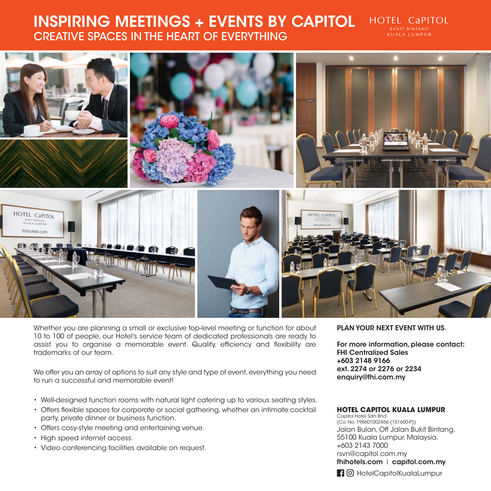## **INSPIRING MEETINGS + EVENTS BY CAPITOL** CREATIVE SPACES IN THE HEART OF EVERYTHING





Whether you are planning a small or exclusive top-level meeting or function for about 10 to 100 of people, our Hotel's service team of dedicated professionals are ready to assist you to organise a memorable event. Quality, efficiency and flexibility are trademarks of our team.

We offer you an array of options to suit any style and type of event, everything you need to run a successful and memorable event!

- Well-designed function rooms with natural light catering up to various seating styles.
- Offers flexible spaces for corporate or social gathering, whether an intimate cocktail party, private dinner or business function.
- Offers cosy-style meeting and entertaining venue.
- High speed internet access.
- Video conferencing facilities available on request.

### **PLAN YOUR NEXT EVENT WITH US**.

**For more information, please contact: FHI Centralized Sales +603 2148 9166 ext. 2274 or 2276 or 2234 enquiry@fhi.com.my** 

**HOTEL CAPITOL RUKIT RINTANG KUALA LUMPUR** 

#### **HOTEL CAPITOL KUALA LUMPUR**

Capitol Hotel Sdn Bhd (Co. No. 198601002456 (151600-P)) Jalan Bulan, Off Jalan Bukit Bintang, 55100 Kuala Lumpur, Malaysia. +603 2143 7000 rsvn@capitol.com.my **fhihotels.com** l **capitol.com.my**

HO HotelCapitolKualaLumpur